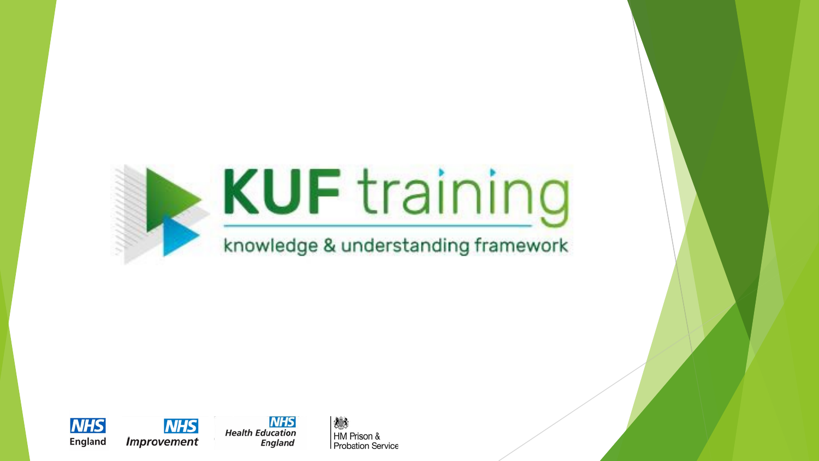





**NHS** 

想念 HM Prison & **Probation Service**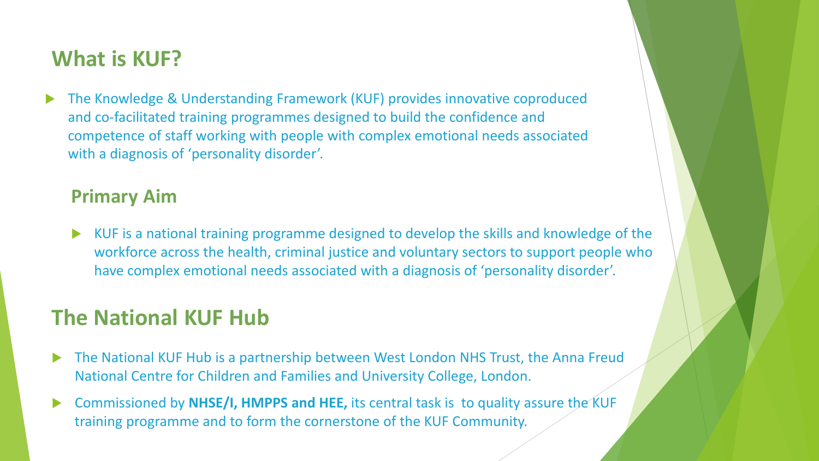#### **What is KUF?**

 The Knowledge & Understanding Framework (KUF) provides innovative coproduced and co-facilitated training programmes designed to build the confidence and competence of staff working with people with complex emotional needs associated with a diagnosis of 'personality disorder'.

#### **Primary Aim**

 KUF is a national training programme designed to develop the skills and knowledge of the workforce across the health, criminal justice and voluntary sectors to support people who have complex emotional needs associated with a diagnosis of 'personality disorder'.

#### **The National KUF Hub**

- The National KUF Hub is a partnership between West London NHS Trust, the Anna Freud National Centre for Children and Families and University College, London.
- Commissioned by **NHSE/I, HMPPS and HEE,** its central task is to quality assure the KUF training programme and to form the cornerstone of the KUF Community.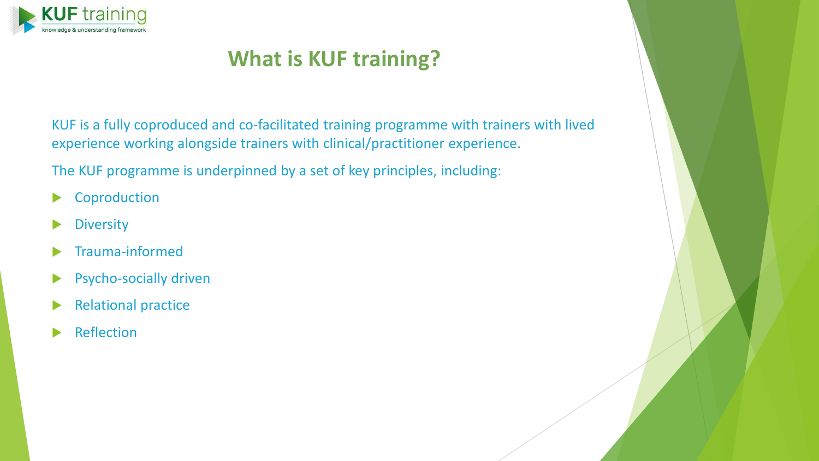

### **What is KUF training?**

KUF is a fully coproduced and co-facilitated training programme with trainers with lived experience working alongside trainers with clinical/practitioner experience.

The KUF programme is underpinned by a set of key principles, including:

- ▶ Coproduction
- **Diversity**
- Trauma-informed
- **Psycho-socially driven**
- Relational practice
- Reflection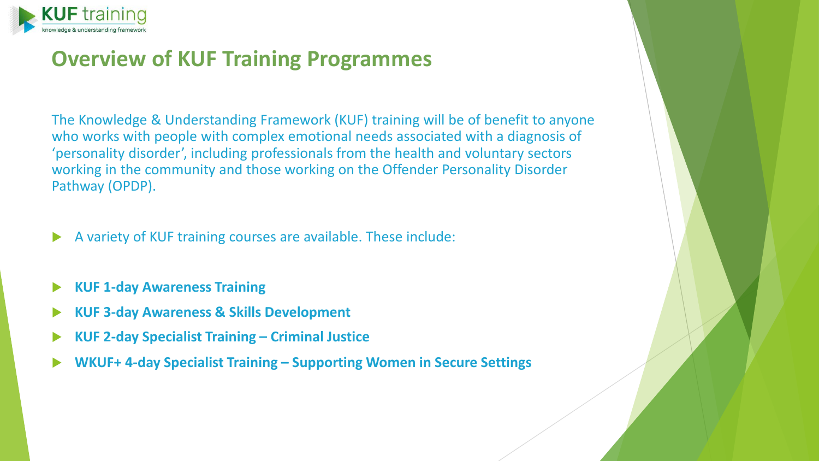

#### **Overview of KUF Training Programmes**

The Knowledge & Understanding Framework (KUF) training will be of benefit to anyone who works with people with complex emotional needs associated with a diagnosis of 'personality disorder', including professionals from the health and voluntary sectors working in the community and those working on the Offender Personality Disorder Pathway (OPDP).

- A variety of KUF training courses are available. These include:
- **KUF 1-day Awareness Training**
- **KUF 3-day Awareness & Skills Development**
- **KUF 2-day Specialist Training – Criminal Justice**
- **WKUF+ 4-day Specialist Training – Supporting Women in Secure Settings**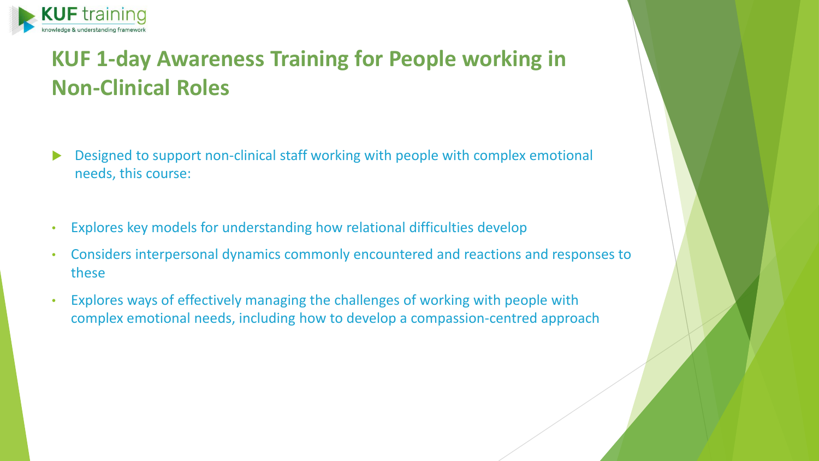

## **KUF 1-day Awareness Training for People working in Non-Clinical Roles**

- Designed to support non-clinical staff working with people with complex emotional needs, this course:
- Explores key models for understanding how relational difficulties develop
- Considers interpersonal dynamics commonly encountered and reactions and responses to these
- Explores ways of effectively managing the challenges of working with people with complex emotional needs, including how to develop a compassion-centred approach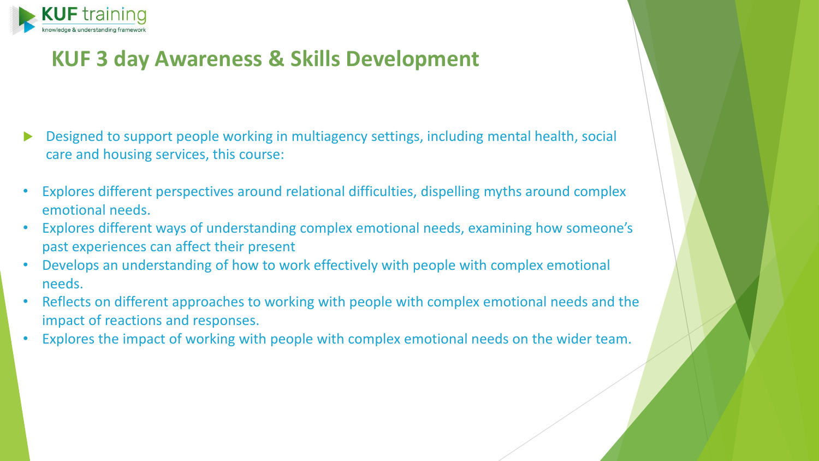

### **KUF 3 day Awareness & Skills Development**

- Designed to support people working in multiagency settings, including mental health, social care and housing services, this course:
- Explores different perspectives around relational difficulties, dispelling myths around complex emotional needs.
- Explores different ways of understanding complex emotional needs, examining how someone's past experiences can affect their present
- Develops an understanding of how to work effectively with people with complex emotional needs.
- Reflects on different approaches to working with people with complex emotional needs and the impact of reactions and responses.
- Explores the impact of working with people with complex emotional needs on the wider team.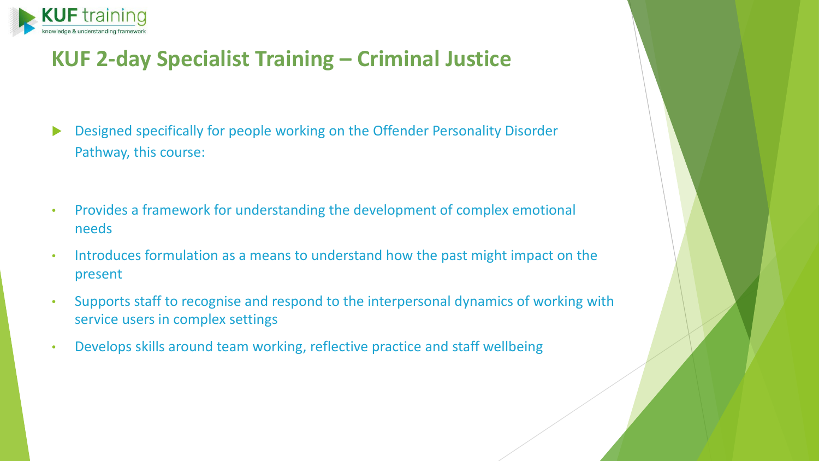

### **KUF 2-day Specialist Training – Criminal Justice**

- Designed specifically for people working on the Offender Personality Disorder Pathway, this course:
- Provides a framework for understanding the development of complex emotional needs
- Introduces formulation as a means to understand how the past might impact on the present
- Supports staff to recognise and respond to the interpersonal dynamics of working with service users in complex settings
- Develops skills around team working, reflective practice and staff wellbeing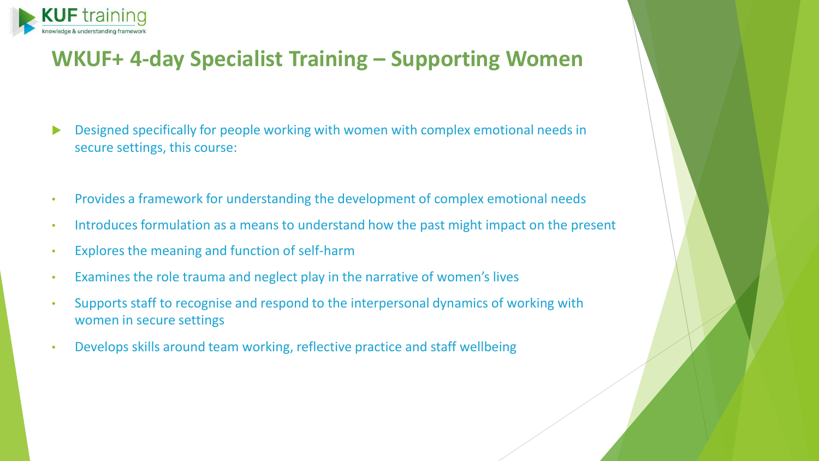

### **WKUF+ 4-day Specialist Training – Supporting Women**

- Designed specifically for people working with women with complex emotional needs in secure settings, this course:
- Provides a framework for understanding the development of complex emotional needs
- Introduces formulation as a means to understand how the past might impact on the present
- Explores the meaning and function of self-harm
- Examines the role trauma and neglect play in the narrative of women's lives
- Supports staff to recognise and respond to the interpersonal dynamics of working with women in secure settings
- Develops skills around team working, reflective practice and staff wellbeing